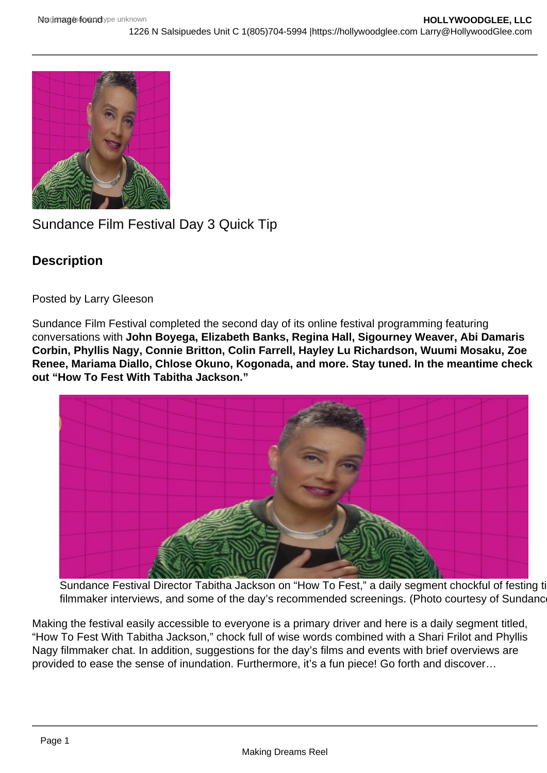## Sundance Film Festival Day 3 Quick Tip

**Description** 

Posted by Larry Gleeson

Sundance Film Festival completed the second day of its online festival programming featuring conversations with John Boyega, Elizabeth Banks, Regina Hall, Sigourney Weaver, Abi Damaris Corbin, Phyllis Nagy, Connie Britton, Colin Farrell, Hayley Lu Richardson, Wuumi Mosaku, Zoe Renee, Mariama Diallo, Chlose Okuno, Kogonada, and more. Stay tuned. In the meantime check out "How To Fest With Tabitha Jackson."

Sundance Festival Director Tabitha Jackson on "How To Fest," a daily segment chockful of festing ti filmmaker interviews, and some of the day's recommended screenings. (Photo courtesy of Sundance

Making the festival easily accessible to everyone is a primary driver and here is a daily segment titled, "How To Fest With Tabitha Jackson," chock full of wise words combined with a Shari Frilot and Phyllis Nagy filmmaker chat. In addition, suggestions for the day's films and events with brief overviews are provided to ease the sense of inundation. Furthermore, it's a fun piece! Go forth and discover…